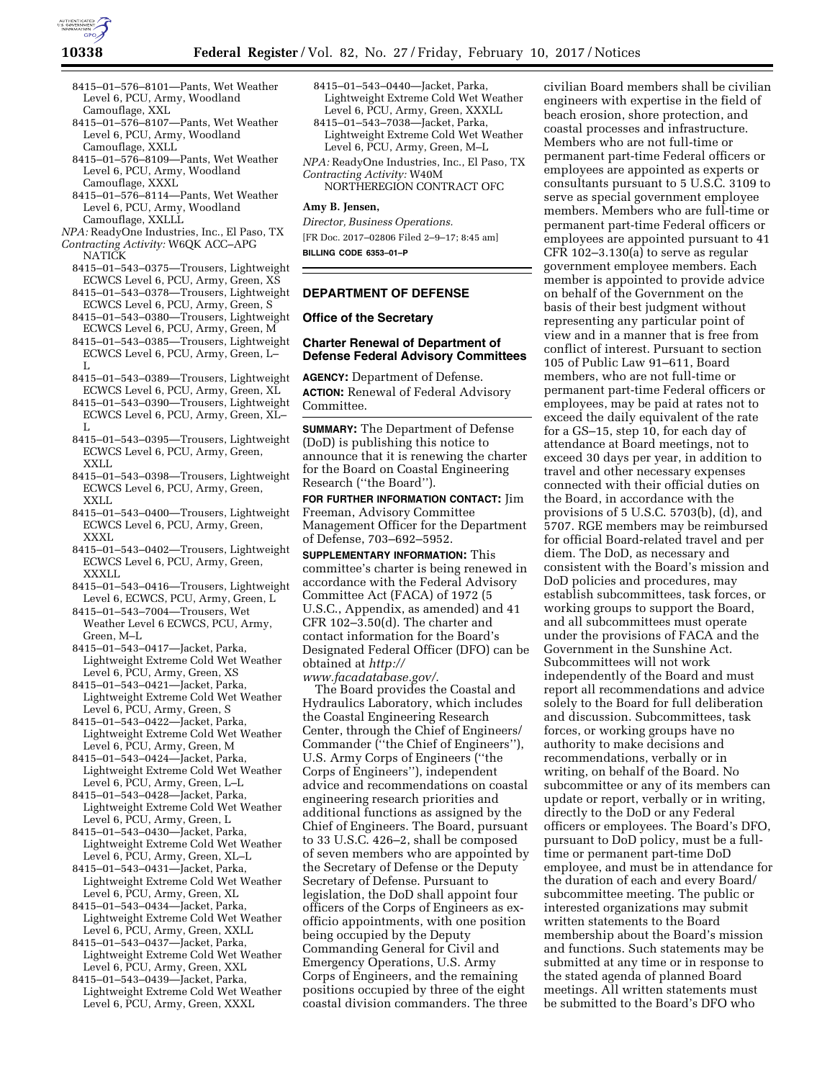

- 8415–01–576–8101—Pants, Wet Weather Level 6, PCU, Army, Woodland Camouflage, XXL
- 8415–01–576–8107—Pants, Wet Weather Level 6, PCU, Army, Woodland Camouflage, XXLL
- 8415–01–576–8109—Pants, Wet Weather Level 6, PCU, Army, Woodland Camouflage, XXXL
- 8415–01–576–8114—Pants, Wet Weather Level 6, PCU, Army, Woodland Camouflage, XXLLL
- *NPA:* ReadyOne Industries, Inc., El Paso, TX
- *Contracting Activity:* W6QK ACC–APG NATICK
- 8415–01–543–0375—Trousers, Lightweight ECWCS Level 6, PCU, Army, Green, XS
- 8415–01–543–0378—Trousers, Lightweight ECWCS Level 6, PCU, Army, Green, S
- 8415–01–543–0380—Trousers, Lightweight ECWCS Level 6, PCU, Army, Green, M
- 8415–01–543–0385—Trousers, Lightweight ECWCS Level 6, PCU, Army, Green, L–  $\mathbf{L}$
- 8415–01–543–0389—Trousers, Lightweight ECWCS Level 6, PCU, Army, Green, XL
- 8415–01–543–0390—Trousers, Lightweight ECWCS Level 6, PCU, Army, Green, XL– L
- 8415–01–543–0395—Trousers, Lightweight ECWCS Level 6, PCU, Army, Green, XXLL
- 8415–01–543–0398—Trousers, Lightweight ECWCS Level 6, PCU, Army, Green, XXLL
- 8415–01–543–0400—Trousers, Lightweight ECWCS Level 6, PCU, Army, Green, XXXL
- 8415–01–543–0402—Trousers, Lightweight ECWCS Level 6, PCU, Army, Green, XXXLL
- 8415–01–543–0416—Trousers, Lightweight Level 6, ECWCS, PCU, Army, Green, L
- 8415–01–543–7004—Trousers, Wet Weather Level 6 ECWCS, PCU, Army, Green, M–L
- 8415–01–543–0417—Jacket, Parka, Lightweight Extreme Cold Wet Weather Level 6, PCU, Army, Green, XS
- 8415–01–543–0421—Jacket, Parka, Lightweight Extreme Cold Wet Weather Level 6, PCU, Army, Green, S
- 8415–01–543–0422—Jacket, Parka, Lightweight Extreme Cold Wet Weather Level 6, PCU, Army, Green, M
- 8415–01–543–0424—Jacket, Parka, Lightweight Extreme Cold Wet Weather Level 6, PCU, Army, Green, L–L
- 8415–01–543–0428—Jacket, Parka, Lightweight Extreme Cold Wet Weather Level 6, PCU, Army, Green, L
- 8415–01–543–0430—Jacket, Parka, Lightweight Extreme Cold Wet Weather Level 6, PCU, Army, Green, XL–L
- 8415–01–543–0431—Jacket, Parka, Lightweight Extreme Cold Wet Weather Level 6, PCU, Army, Green, XL
- 8415–01–543–0434—Jacket, Parka, Lightweight Extreme Cold Wet Weather Level 6, PCU, Army, Green, XXLL
- 8415–01–543–0437—Jacket, Parka, Lightweight Extreme Cold Wet Weather Level 6, PCU, Army, Green, XXL
- 8415–01–543–0439—Jacket, Parka, Lightweight Extreme Cold Wet Weather Level 6, PCU, Army, Green, XXXL
- 8415–01–543–0440—Jacket, Parka, Lightweight Extreme Cold Wet Weather Level 6, PCU, Army, Green, XXXLL
- 8415–01–543–7038—Jacket, Parka, Lightweight Extreme Cold Wet Weather Level 6, PCU, Army, Green, M–L

*NPA:* ReadyOne Industries, Inc., El Paso, TX *Contracting Activity:* W40M NORTHEREGION CONTRACT OFC

### **Amy B. Jensen,**

*Director, Business Operations.*  [FR Doc. 2017–02806 Filed 2–9–17; 8:45 am] **BILLING CODE 6353–01–P** 

#### **DEPARTMENT OF DEFENSE**

#### **Office of the Secretary**

### **Charter Renewal of Department of Defense Federal Advisory Committees**

**AGENCY:** Department of Defense. **ACTION:** Renewal of Federal Advisory Committee.

**SUMMARY:** The Department of Defense (DoD) is publishing this notice to announce that it is renewing the charter for the Board on Coastal Engineering Research (''the Board'').

**FOR FURTHER INFORMATION CONTACT:** Jim Freeman, Advisory Committee Management Officer for the Department of Defense, 703–692–5952.

**SUPPLEMENTARY INFORMATION:** This committee's charter is being renewed in accordance with the Federal Advisory Committee Act (FACA) of 1972 (5 U.S.C., Appendix, as amended) and 41 CFR 102–3.50(d). The charter and contact information for the Board's Designated Federal Officer (DFO) can be obtained at *[http://](http://www.facadatabase.gov/) [www.facadatabase.gov/](http://www.facadatabase.gov/)*.

The Board provides the Coastal and Hydraulics Laboratory, which includes the Coastal Engineering Research Center, through the Chief of Engineers/ Commander (''the Chief of Engineers''), U.S. Army Corps of Engineers (''the Corps of Engineers''), independent advice and recommendations on coastal engineering research priorities and additional functions as assigned by the Chief of Engineers. The Board, pursuant to 33 U.S.C. 426–2, shall be composed of seven members who are appointed by the Secretary of Defense or the Deputy Secretary of Defense. Pursuant to legislation, the DoD shall appoint four officers of the Corps of Engineers as exofficio appointments, with one position being occupied by the Deputy Commanding General for Civil and Emergency Operations, U.S. Army Corps of Engineers, and the remaining positions occupied by three of the eight coastal division commanders. The three

civilian Board members shall be civilian engineers with expertise in the field of beach erosion, shore protection, and coastal processes and infrastructure. Members who are not full-time or permanent part-time Federal officers or employees are appointed as experts or consultants pursuant to 5 U.S.C. 3109 to serve as special government employee members. Members who are full-time or permanent part-time Federal officers or employees are appointed pursuant to 41 CFR 102–3.130(a) to serve as regular government employee members. Each member is appointed to provide advice on behalf of the Government on the basis of their best judgment without representing any particular point of view and in a manner that is free from conflict of interest. Pursuant to section 105 of Public Law 91–611, Board members, who are not full-time or permanent part-time Federal officers or employees, may be paid at rates not to exceed the daily equivalent of the rate for a GS–15, step 10, for each day of attendance at Board meetings, not to exceed 30 days per year, in addition to travel and other necessary expenses connected with their official duties on the Board, in accordance with the provisions of 5 U.S.C. 5703(b), (d), and 5707. RGE members may be reimbursed for official Board-related travel and per diem. The DoD, as necessary and consistent with the Board's mission and DoD policies and procedures, may establish subcommittees, task forces, or working groups to support the Board, and all subcommittees must operate under the provisions of FACA and the Government in the Sunshine Act. Subcommittees will not work independently of the Board and must report all recommendations and advice solely to the Board for full deliberation and discussion. Subcommittees, task forces, or working groups have no authority to make decisions and recommendations, verbally or in writing, on behalf of the Board. No subcommittee or any of its members can update or report, verbally or in writing, directly to the DoD or any Federal officers or employees. The Board's DFO, pursuant to DoD policy, must be a fulltime or permanent part-time DoD employee, and must be in attendance for the duration of each and every Board/ subcommittee meeting. The public or interested organizations may submit written statements to the Board membership about the Board's mission and functions. Such statements may be submitted at any time or in response to the stated agenda of planned Board meetings. All written statements must be submitted to the Board's DFO who